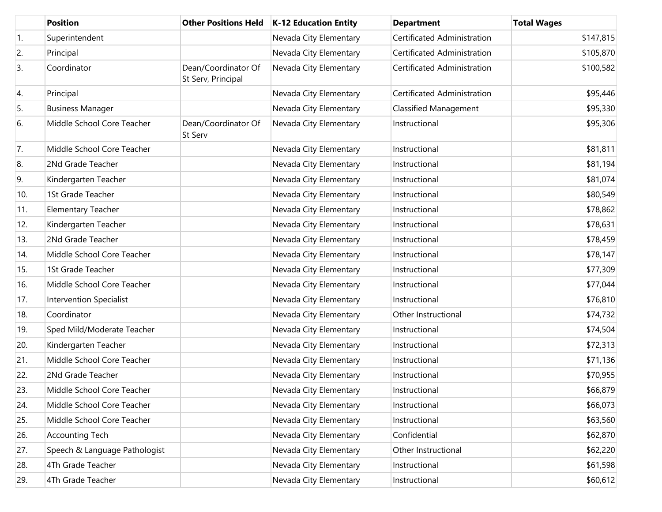|     | <b>Position</b>                | <b>Other Positions Held</b>               | <b>K-12 Education Entity</b> | <b>Department</b>            | <b>Total Wages</b> |
|-----|--------------------------------|-------------------------------------------|------------------------------|------------------------------|--------------------|
| 1.  | Superintendent                 |                                           | Nevada City Elementary       | Certificated Administration  | \$147,815          |
| 2.  | Principal                      |                                           | Nevada City Elementary       | Certificated Administration  | \$105,870          |
| 3.  | Coordinator                    | Dean/Coordinator Of<br>St Serv, Principal | Nevada City Elementary       | Certificated Administration  | \$100,582          |
| 4.  | Principal                      |                                           | Nevada City Elementary       | Certificated Administration  | \$95,446           |
| 5.  | <b>Business Manager</b>        |                                           | Nevada City Elementary       | <b>Classified Management</b> | \$95,330           |
| 6.  | Middle School Core Teacher     | Dean/Coordinator Of<br>St Serv            | Nevada City Elementary       | Instructional                | \$95,306           |
| 7.  | Middle School Core Teacher     |                                           | Nevada City Elementary       | Instructional                | \$81,811           |
| 8.  | 2Nd Grade Teacher              |                                           | Nevada City Elementary       | Instructional                | \$81,194           |
| 9.  | Kindergarten Teacher           |                                           | Nevada City Elementary       | Instructional                | \$81,074           |
| 10. | 1St Grade Teacher              |                                           | Nevada City Elementary       | Instructional                | \$80,549           |
| 11. | <b>Elementary Teacher</b>      |                                           | Nevada City Elementary       | Instructional                | \$78,862           |
| 12. | Kindergarten Teacher           |                                           | Nevada City Elementary       | Instructional                | \$78,631           |
| 13. | 2Nd Grade Teacher              |                                           | Nevada City Elementary       | Instructional                | \$78,459           |
| 14. | Middle School Core Teacher     |                                           | Nevada City Elementary       | Instructional                | \$78,147           |
| 15. | 1St Grade Teacher              |                                           | Nevada City Elementary       | Instructional                | \$77,309           |
| 16. | Middle School Core Teacher     |                                           | Nevada City Elementary       | Instructional                | \$77,044           |
| 17. | <b>Intervention Specialist</b> |                                           | Nevada City Elementary       | Instructional                | \$76,810           |
| 18. | Coordinator                    |                                           | Nevada City Elementary       | Other Instructional          | \$74,732           |
| 19. | Sped Mild/Moderate Teacher     |                                           | Nevada City Elementary       | Instructional                | \$74,504           |
| 20. | Kindergarten Teacher           |                                           | Nevada City Elementary       | Instructional                | \$72,313           |
| 21. | Middle School Core Teacher     |                                           | Nevada City Elementary       | Instructional                | \$71,136           |
| 22. | 2Nd Grade Teacher              |                                           | Nevada City Elementary       | Instructional                | \$70,955           |
| 23. | Middle School Core Teacher     |                                           | Nevada City Elementary       | Instructional                | \$66,879           |
| 24. | Middle School Core Teacher     |                                           | Nevada City Elementary       | Instructional                | \$66,073           |
| 25. | Middle School Core Teacher     |                                           | Nevada City Elementary       | Instructional                | \$63,560           |
| 26. | <b>Accounting Tech</b>         |                                           | Nevada City Elementary       | Confidential                 | \$62,870           |
| 27. | Speech & Language Pathologist  |                                           | Nevada City Elementary       | Other Instructional          | \$62,220           |
| 28. | 4Th Grade Teacher              |                                           | Nevada City Elementary       | Instructional                | \$61,598           |
| 29. | 4Th Grade Teacher              |                                           | Nevada City Elementary       | Instructional                | \$60,612           |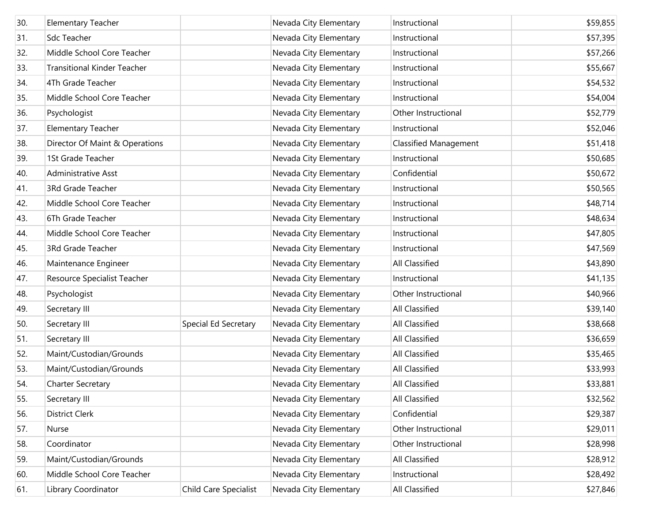| 30. | <b>Elementary Teacher</b>          |                       | Nevada City Elementary | Instructional                | \$59,855 |
|-----|------------------------------------|-----------------------|------------------------|------------------------------|----------|
| 31. | Sdc Teacher                        |                       | Nevada City Elementary | Instructional                | \$57,395 |
| 32. | Middle School Core Teacher         |                       | Nevada City Elementary | Instructional                | \$57,266 |
| 33. | <b>Transitional Kinder Teacher</b> |                       | Nevada City Elementary | Instructional                | \$55,667 |
| 34. | 4Th Grade Teacher                  |                       | Nevada City Elementary | Instructional                | \$54,532 |
| 35. | Middle School Core Teacher         |                       | Nevada City Elementary | Instructional                | \$54,004 |
| 36. | Psychologist                       |                       | Nevada City Elementary | Other Instructional          | \$52,779 |
| 37. | <b>Elementary Teacher</b>          |                       | Nevada City Elementary | Instructional                | \$52,046 |
| 38. | Director Of Maint & Operations     |                       | Nevada City Elementary | <b>Classified Management</b> | \$51,418 |
| 39. | 1St Grade Teacher                  |                       | Nevada City Elementary | Instructional                | \$50,685 |
| 40. | Administrative Asst                |                       | Nevada City Elementary | Confidential                 | \$50,672 |
| 41. | 3Rd Grade Teacher                  |                       | Nevada City Elementary | Instructional                | \$50,565 |
| 42. | Middle School Core Teacher         |                       | Nevada City Elementary | Instructional                | \$48,714 |
| 43. | 6Th Grade Teacher                  |                       | Nevada City Elementary | Instructional                | \$48,634 |
| 44. | Middle School Core Teacher         |                       | Nevada City Elementary | Instructional                | \$47,805 |
| 45. | 3Rd Grade Teacher                  |                       | Nevada City Elementary | Instructional                | \$47,569 |
| 46. | Maintenance Engineer               |                       | Nevada City Elementary | All Classified               | \$43,890 |
| 47. | Resource Specialist Teacher        |                       | Nevada City Elementary | Instructional                | \$41,135 |
| 48. | Psychologist                       |                       | Nevada City Elementary | Other Instructional          | \$40,966 |
| 49. | Secretary III                      |                       | Nevada City Elementary | All Classified               | \$39,140 |
| 50. | Secretary III                      | Special Ed Secretary  | Nevada City Elementary | All Classified               | \$38,668 |
| 51. | Secretary III                      |                       | Nevada City Elementary | All Classified               | \$36,659 |
| 52. | Maint/Custodian/Grounds            |                       | Nevada City Elementary | All Classified               | \$35,465 |
| 53. | Maint/Custodian/Grounds            |                       | Nevada City Elementary | All Classified               | \$33,993 |
| 54. | Charter Secretary                  |                       | Nevada City Elementary | <b>All Classified</b>        | \$33,881 |
| 55. | Secretary III                      |                       | Nevada City Elementary | All Classified               | \$32,562 |
| 56. | District Clerk                     |                       | Nevada City Elementary | Confidential                 | \$29,387 |
| 57. | Nurse                              |                       | Nevada City Elementary | Other Instructional          | \$29,011 |
| 58. | Coordinator                        |                       | Nevada City Elementary | Other Instructional          | \$28,998 |
| 59. | Maint/Custodian/Grounds            |                       | Nevada City Elementary | All Classified               | \$28,912 |
| 60. | Middle School Core Teacher         |                       | Nevada City Elementary | Instructional                | \$28,492 |
| 61. | Library Coordinator                | Child Care Specialist | Nevada City Elementary | All Classified               | \$27,846 |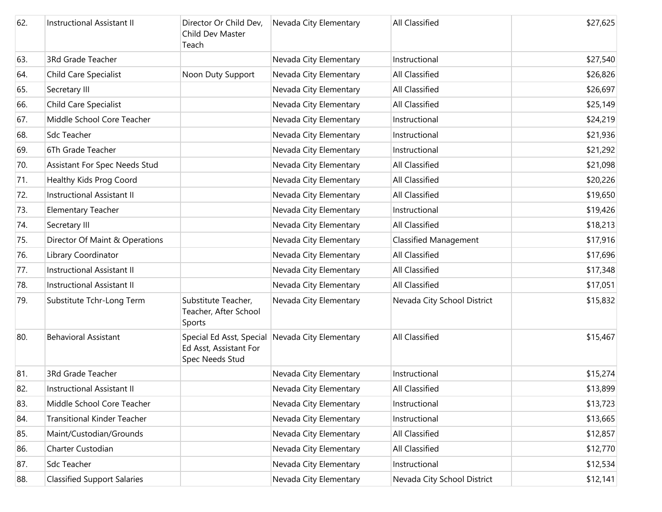| 62. | <b>Instructional Assistant II</b>  | Director Or Child Dev,<br>Child Dev Master<br>Teach    | Nevada City Elementary                          | <b>All Classified</b>        | \$27,625 |
|-----|------------------------------------|--------------------------------------------------------|-------------------------------------------------|------------------------------|----------|
| 63. | 3Rd Grade Teacher                  |                                                        | Nevada City Elementary                          | Instructional                | \$27,540 |
| 64. | Child Care Specialist              | Noon Duty Support                                      | Nevada City Elementary                          | <b>All Classified</b>        | \$26,826 |
| 65. | Secretary III                      |                                                        | Nevada City Elementary                          | All Classified               | \$26,697 |
| 66. | Child Care Specialist              |                                                        | Nevada City Elementary                          | All Classified               | \$25,149 |
| 67. | Middle School Core Teacher         |                                                        | Nevada City Elementary                          | Instructional                | \$24,219 |
| 68. | Sdc Teacher                        |                                                        | Nevada City Elementary                          | Instructional                | \$21,936 |
| 69. | 6Th Grade Teacher                  |                                                        | Nevada City Elementary                          | Instructional                | \$21,292 |
| 70. | Assistant For Spec Needs Stud      |                                                        | Nevada City Elementary                          | All Classified               | \$21,098 |
| 71. | Healthy Kids Prog Coord            |                                                        | Nevada City Elementary                          | <b>All Classified</b>        | \$20,226 |
| 72. | <b>Instructional Assistant II</b>  |                                                        | Nevada City Elementary                          | All Classified               | \$19,650 |
| 73. | <b>Elementary Teacher</b>          |                                                        | Nevada City Elementary                          | Instructional                | \$19,426 |
| 74. | Secretary III                      |                                                        | Nevada City Elementary                          | All Classified               | \$18,213 |
| 75. | Director Of Maint & Operations     |                                                        | Nevada City Elementary                          | <b>Classified Management</b> | \$17,916 |
| 76. | Library Coordinator                |                                                        | Nevada City Elementary                          | All Classified               | \$17,696 |
| 77. | Instructional Assistant II         |                                                        | Nevada City Elementary                          | <b>All Classified</b>        | \$17,348 |
| 78. | Instructional Assistant II         |                                                        | Nevada City Elementary                          | All Classified               | \$17,051 |
| 79. | Substitute Tchr-Long Term          | Substitute Teacher,<br>Teacher, After School<br>Sports | Nevada City Elementary                          | Nevada City School District  | \$15,832 |
| 80. | <b>Behavioral Assistant</b>        | Ed Asst, Assistant For<br>Spec Needs Stud              | Special Ed Asst, Special Nevada City Elementary | <b>All Classified</b>        | \$15,467 |
| 81. | 3Rd Grade Teacher                  |                                                        | Nevada City Elementary                          | Instructional                | \$15,274 |
| 82. | Instructional Assistant II         |                                                        | Nevada City Elementary                          | All Classified               | \$13,899 |
| 83. | Middle School Core Teacher         |                                                        | Nevada City Elementary                          | Instructional                | \$13,723 |
| 84. | <b>Transitional Kinder Teacher</b> |                                                        | Nevada City Elementary                          | Instructional                | \$13,665 |
| 85. | Maint/Custodian/Grounds            |                                                        | Nevada City Elementary                          | All Classified               | \$12,857 |
| 86. | Charter Custodian                  |                                                        | Nevada City Elementary                          | All Classified               | \$12,770 |
| 87. | <b>Sdc Teacher</b>                 |                                                        | Nevada City Elementary                          | Instructional                | \$12,534 |
| 88. | <b>Classified Support Salaries</b> |                                                        | Nevada City Elementary                          | Nevada City School District  | \$12,141 |